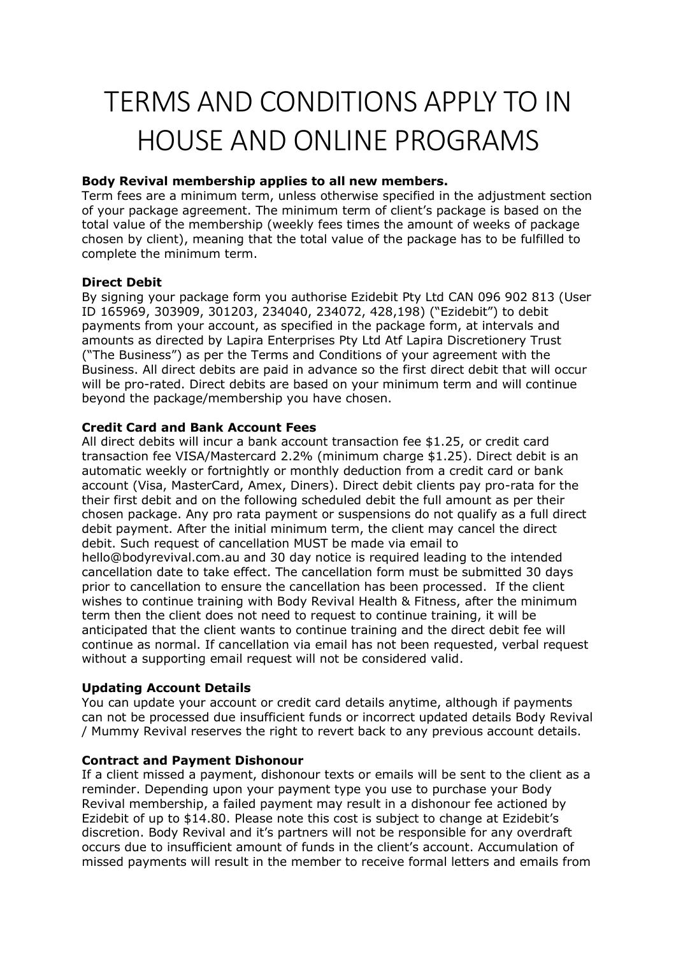# TERMS AND CONDITIONS APPLY TO IN HOUSE AND ONLINE PROGRAMS

## **Body Revival membership applies to all new members.**

Term fees are a minimum term, unless otherwise specified in the adjustment section of your package agreement. The minimum term of client's package is based on the total value of the membership (weekly fees times the amount of weeks of package chosen by client), meaning that the total value of the package has to be fulfilled to complete the minimum term.

# **Direct Debit**

By signing your package form you authorise Ezidebit Pty Ltd CAN 096 902 813 (User ID 165969, 303909, 301203, 234040, 234072, 428,198) ("Ezidebit") to debit payments from your account, as specified in the package form, at intervals and amounts as directed by Lapira Enterprises Pty Ltd Atf Lapira Discretionery Trust ("The Business") as per the Terms and Conditions of your agreement with the Business. All direct debits are paid in advance so the first direct debit that will occur will be pro-rated. Direct debits are based on your minimum term and will continue beyond the package/membership you have chosen.

# **Credit Card and Bank Account Fees**

All direct debits will incur a bank account transaction fee \$1.25, or credit card transaction fee VISA/Mastercard 2.2% (minimum charge \$1.25). Direct debit is an automatic weekly or fortnightly or monthly deduction from a credit card or bank account (Visa, MasterCard, Amex, Diners). Direct debit clients pay pro-rata for the their first debit and on the following scheduled debit the full amount as per their chosen package. Any pro rata payment or suspensions do not qualify as a full direct debit payment. After the initial minimum term, the client may cancel the direct debit. Such request of cancellation MUST be made via email to hello@bodyrevival.com.au and 30 day notice is required leading to the intended cancellation date to take effect. The cancellation form must be submitted 30 days prior to cancellation to ensure the cancellation has been processed. If the client wishes to continue training with Body Revival Health & Fitness, after the minimum term then the client does not need to request to continue training, it will be anticipated that the client wants to continue training and the direct debit fee will continue as normal. If cancellation via email has not been requested, verbal request without a supporting email request will not be considered valid.

# **Updating Account Details**

You can update your account or credit card details anytime, although if payments can not be processed due insufficient funds or incorrect updated details Body Revival / Mummy Revival reserves the right to revert back to any previous account details.

#### **Contract and Payment Dishonour**

If a client missed a payment, dishonour texts or emails will be sent to the client as a reminder. Depending upon your payment type you use to purchase your Body Revival membership, a failed payment may result in a dishonour fee actioned by Ezidebit of up to \$14.80. Please note this cost is subject to change at Ezidebit's discretion. Body Revival and it's partners will not be responsible for any overdraft occurs due to insufficient amount of funds in the client's account. Accumulation of missed payments will result in the member to receive formal letters and emails from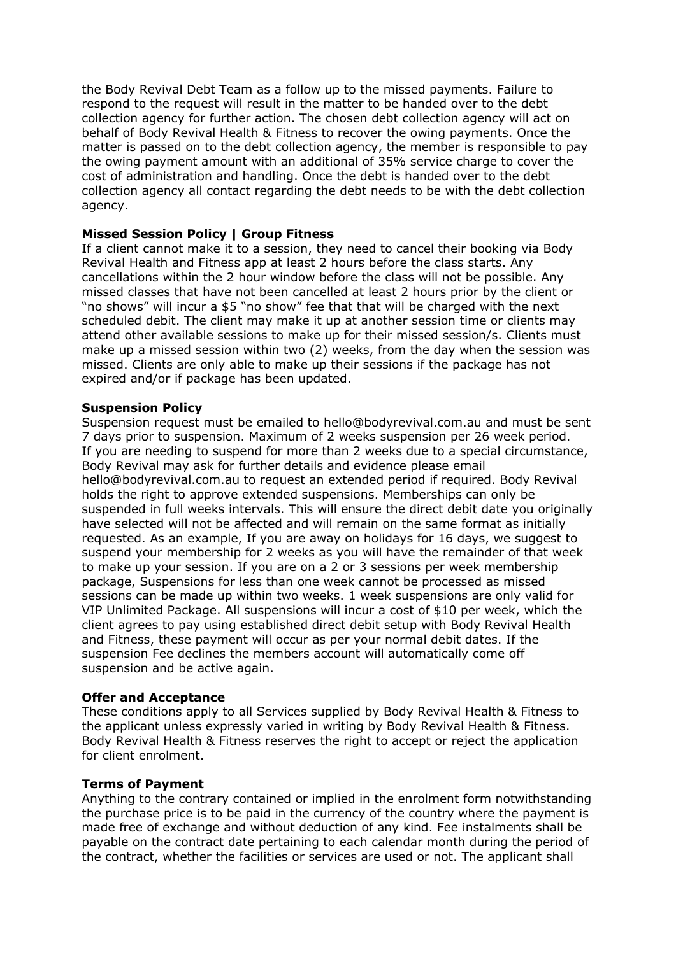the Body Revival Debt Team as a follow up to the missed payments. Failure to respond to the request will result in the matter to be handed over to the debt collection agency for further action. The chosen debt collection agency will act on behalf of Body Revival Health & Fitness to recover the owing payments. Once the matter is passed on to the debt collection agency, the member is responsible to pay the owing payment amount with an additional of 35% service charge to cover the cost of administration and handling. Once the debt is handed over to the debt collection agency all contact regarding the debt needs to be with the debt collection agency.

#### **Missed Session Policy | Group Fitness**

If a client cannot make it to a session, they need to cancel their booking via Body Revival Health and Fitness app at least 2 hours before the class starts. Any cancellations within the 2 hour window before the class will not be possible. Any missed classes that have not been cancelled at least 2 hours prior by the client or "no shows" will incur a \$5 "no show" fee that that will be charged with the next scheduled debit. The client may make it up at another session time or clients may attend other available sessions to make up for their missed session/s. Clients must make up a missed session within two (2) weeks, from the day when the session was missed. Clients are only able to make up their sessions if the package has not expired and/or if package has been updated.

#### **Suspension Policy**

Suspension request must be emailed to hello@bodyrevival.com.au and must be sent 7 days prior to suspension. Maximum of 2 weeks suspension per 26 week period. If you are needing to suspend for more than 2 weeks due to a special circumstance, Body Revival may ask for further details and evidence please email hello@bodyrevival.com.au to request an extended period if required. Body Revival holds the right to approve extended suspensions. Memberships can only be suspended in full weeks intervals. This will ensure the direct debit date you originally have selected will not be affected and will remain on the same format as initially requested. As an example, If you are away on holidays for 16 days, we suggest to suspend your membership for 2 weeks as you will have the remainder of that week to make up your session. If you are on a 2 or 3 sessions per week membership package, Suspensions for less than one week cannot be processed as missed sessions can be made up within two weeks. 1 week suspensions are only valid for VIP Unlimited Package. All suspensions will incur a cost of \$10 per week, which the client agrees to pay using established direct debit setup with Body Revival Health and Fitness, these payment will occur as per your normal debit dates. If the suspension Fee declines the members account will automatically come off suspension and be active again.

#### **Offer and Acceptance**

These conditions apply to all Services supplied by Body Revival Health & Fitness to the applicant unless expressly varied in writing by Body Revival Health & Fitness. Body Revival Health & Fitness reserves the right to accept or reject the application for client enrolment.

#### **Terms of Payment**

Anything to the contrary contained or implied in the enrolment form notwithstanding the purchase price is to be paid in the currency of the country where the payment is made free of exchange and without deduction of any kind. Fee instalments shall be payable on the contract date pertaining to each calendar month during the period of the contract, whether the facilities or services are used or not. The applicant shall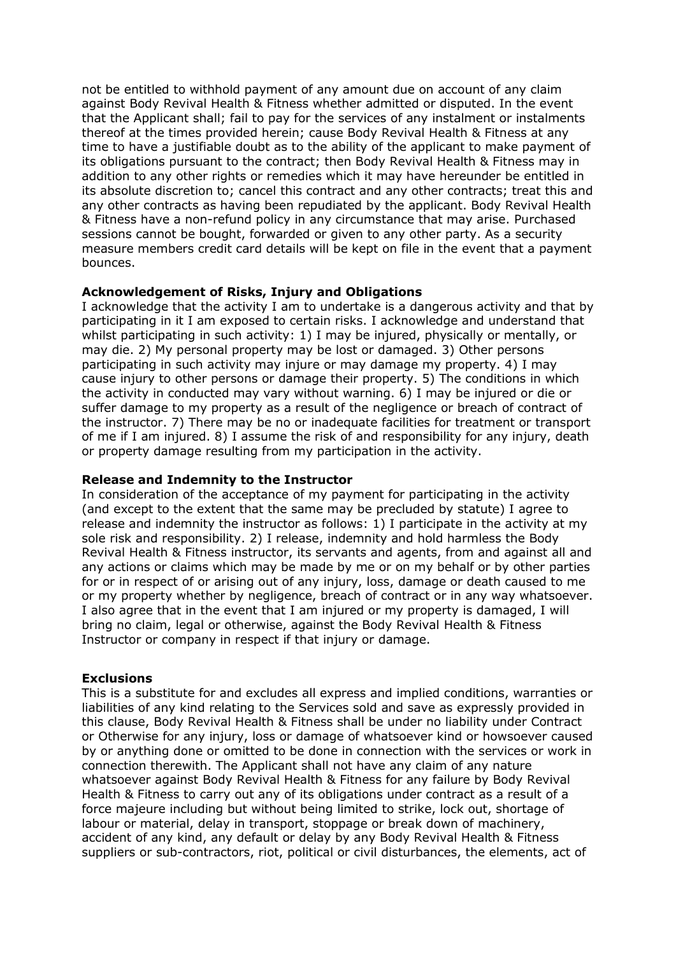not be entitled to withhold payment of any amount due on account of any claim against Body Revival Health & Fitness whether admitted or disputed. In the event that the Applicant shall; fail to pay for the services of any instalment or instalments thereof at the times provided herein; cause Body Revival Health & Fitness at any time to have a justifiable doubt as to the ability of the applicant to make payment of its obligations pursuant to the contract; then Body Revival Health & Fitness may in addition to any other rights or remedies which it may have hereunder be entitled in its absolute discretion to; cancel this contract and any other contracts; treat this and any other contracts as having been repudiated by the applicant. Body Revival Health & Fitness have a non-refund policy in any circumstance that may arise. Purchased sessions cannot be bought, forwarded or given to any other party. As a security measure members credit card details will be kept on file in the event that a payment bounces.

#### **Acknowledgement of Risks, Injury and Obligations**

I acknowledge that the activity I am to undertake is a dangerous activity and that by participating in it I am exposed to certain risks. I acknowledge and understand that whilst participating in such activity: 1) I may be injured, physically or mentally, or may die. 2) My personal property may be lost or damaged. 3) Other persons participating in such activity may injure or may damage my property. 4) I may cause injury to other persons or damage their property. 5) The conditions in which the activity in conducted may vary without warning. 6) I may be injured or die or suffer damage to my property as a result of the negligence or breach of contract of the instructor. 7) There may be no or inadequate facilities for treatment or transport of me if I am injured. 8) I assume the risk of and responsibility for any injury, death or property damage resulting from my participation in the activity.

#### **Release and Indemnity to the Instructor**

In consideration of the acceptance of my payment for participating in the activity (and except to the extent that the same may be precluded by statute) I agree to release and indemnity the instructor as follows: 1) I participate in the activity at my sole risk and responsibility. 2) I release, indemnity and hold harmless the Body Revival Health & Fitness instructor, its servants and agents, from and against all and any actions or claims which may be made by me or on my behalf or by other parties for or in respect of or arising out of any injury, loss, damage or death caused to me or my property whether by negligence, breach of contract or in any way whatsoever. I also agree that in the event that I am injured or my property is damaged, I will bring no claim, legal or otherwise, against the Body Revival Health & Fitness Instructor or company in respect if that injury or damage.

#### **Exclusions**

This is a substitute for and excludes all express and implied conditions, warranties or liabilities of any kind relating to the Services sold and save as expressly provided in this clause, Body Revival Health & Fitness shall be under no liability under Contract or Otherwise for any injury, loss or damage of whatsoever kind or howsoever caused by or anything done or omitted to be done in connection with the services or work in connection therewith. The Applicant shall not have any claim of any nature whatsoever against Body Revival Health & Fitness for any failure by Body Revival Health & Fitness to carry out any of its obligations under contract as a result of a force majeure including but without being limited to strike, lock out, shortage of labour or material, delay in transport, stoppage or break down of machinery, accident of any kind, any default or delay by any Body Revival Health & Fitness suppliers or sub-contractors, riot, political or civil disturbances, the elements, act of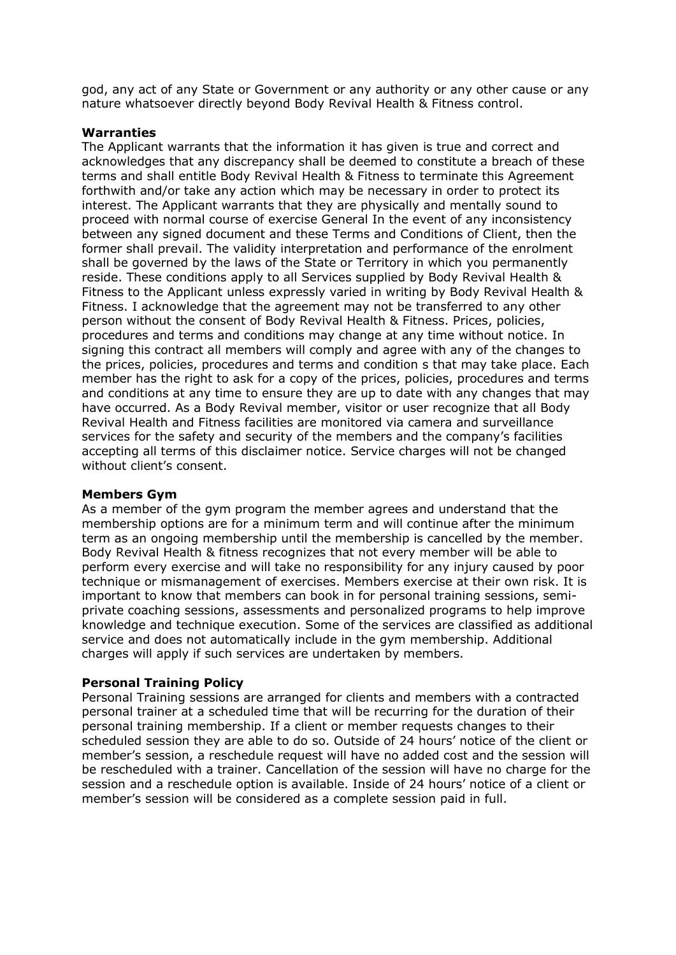god, any act of any State or Government or any authority or any other cause or any nature whatsoever directly beyond Body Revival Health & Fitness control.

#### **Warranties**

The Applicant warrants that the information it has given is true and correct and acknowledges that any discrepancy shall be deemed to constitute a breach of these terms and shall entitle Body Revival Health & Fitness to terminate this Agreement forthwith and/or take any action which may be necessary in order to protect its interest. The Applicant warrants that they are physically and mentally sound to proceed with normal course of exercise General In the event of any inconsistency between any signed document and these Terms and Conditions of Client, then the former shall prevail. The validity interpretation and performance of the enrolment shall be governed by the laws of the State or Territory in which you permanently reside. These conditions apply to all Services supplied by Body Revival Health & Fitness to the Applicant unless expressly varied in writing by Body Revival Health & Fitness. I acknowledge that the agreement may not be transferred to any other person without the consent of Body Revival Health & Fitness. Prices, policies, procedures and terms and conditions may change at any time without notice. In signing this contract all members will comply and agree with any of the changes to the prices, policies, procedures and terms and condition s that may take place. Each member has the right to ask for a copy of the prices, policies, procedures and terms and conditions at any time to ensure they are up to date with any changes that may have occurred. As a Body Revival member, visitor or user recognize that all Body Revival Health and Fitness facilities are monitored via camera and surveillance services for the safety and security of the members and the company's facilities accepting all terms of this disclaimer notice. Service charges will not be changed without client's consent.

#### **Members Gym**

As a member of the gym program the member agrees and understand that the membership options are for a minimum term and will continue after the minimum term as an ongoing membership until the membership is cancelled by the member. Body Revival Health & fitness recognizes that not every member will be able to perform every exercise and will take no responsibility for any injury caused by poor technique or mismanagement of exercises. Members exercise at their own risk. It is important to know that members can book in for personal training sessions, semiprivate coaching sessions, assessments and personalized programs to help improve knowledge and technique execution. Some of the services are classified as additional service and does not automatically include in the gym membership. Additional charges will apply if such services are undertaken by members.

#### **Personal Training Policy**

Personal Training sessions are arranged for clients and members with a contracted personal trainer at a scheduled time that will be recurring for the duration of their personal training membership. If a client or member requests changes to their scheduled session they are able to do so. Outside of 24 hours' notice of the client or member's session, a reschedule request will have no added cost and the session will be rescheduled with a trainer. Cancellation of the session will have no charge for the session and a reschedule option is available. Inside of 24 hours' notice of a client or member's session will be considered as a complete session paid in full.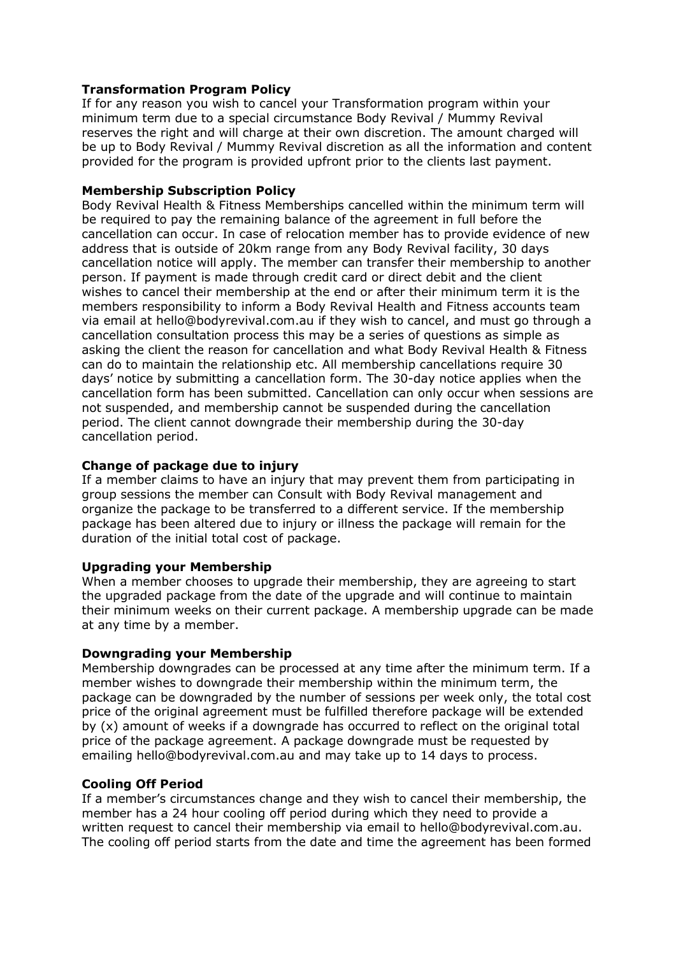## **Transformation Program Policy**

If for any reason you wish to cancel your Transformation program within your minimum term due to a special circumstance Body Revival / Mummy Revival reserves the right and will charge at their own discretion. The amount charged will be up to Body Revival / Mummy Revival discretion as all the information and content provided for the program is provided upfront prior to the clients last payment.

## **Membership Subscription Policy**

Body Revival Health & Fitness Memberships cancelled within the minimum term will be required to pay the remaining balance of the agreement in full before the cancellation can occur. In case of relocation member has to provide evidence of new address that is outside of 20km range from any Body Revival facility, 30 days cancellation notice will apply. The member can transfer their membership to another person. If payment is made through credit card or direct debit and the client wishes to cancel their membership at the end or after their minimum term it is the members responsibility to inform a Body Revival Health and Fitness accounts team via email at hello@bodyrevival.com.au if they wish to cancel, and must go through a cancellation consultation process this may be a series of questions as simple as asking the client the reason for cancellation and what Body Revival Health & Fitness can do to maintain the relationship etc. All membership cancellations require 30 days' notice by submitting a cancellation form. The 30-day notice applies when the cancellation form has been submitted. Cancellation can only occur when sessions are not suspended, and membership cannot be suspended during the cancellation period. The client cannot downgrade their membership during the 30-day cancellation period.

# **Change of package due to injury**

If a member claims to have an injury that may prevent them from participating in group sessions the member can Consult with Body Revival management and organize the package to be transferred to a different service. If the membership package has been altered due to injury or illness the package will remain for the duration of the initial total cost of package.

#### **Upgrading your Membership**

When a member chooses to upgrade their membership, they are agreeing to start the upgraded package from the date of the upgrade and will continue to maintain their minimum weeks on their current package. A membership upgrade can be made at any time by a member.

#### **Downgrading your Membership**

Membership downgrades can be processed at any time after the minimum term. If a member wishes to downgrade their membership within the minimum term, the package can be downgraded by the number of sessions per week only, the total cost price of the original agreement must be fulfilled therefore package will be extended by (x) amount of weeks if a downgrade has occurred to reflect on the original total price of the package agreement. A package downgrade must be requested by emailing hello@bodyrevival.com.au and may take up to 14 days to process.

# **Cooling Off Period**

If a member's circumstances change and they wish to cancel their membership, the member has a 24 hour cooling off period during which they need to provide a written request to cancel their membership via email to hello@bodyrevival.com.au. The cooling off period starts from the date and time the agreement has been formed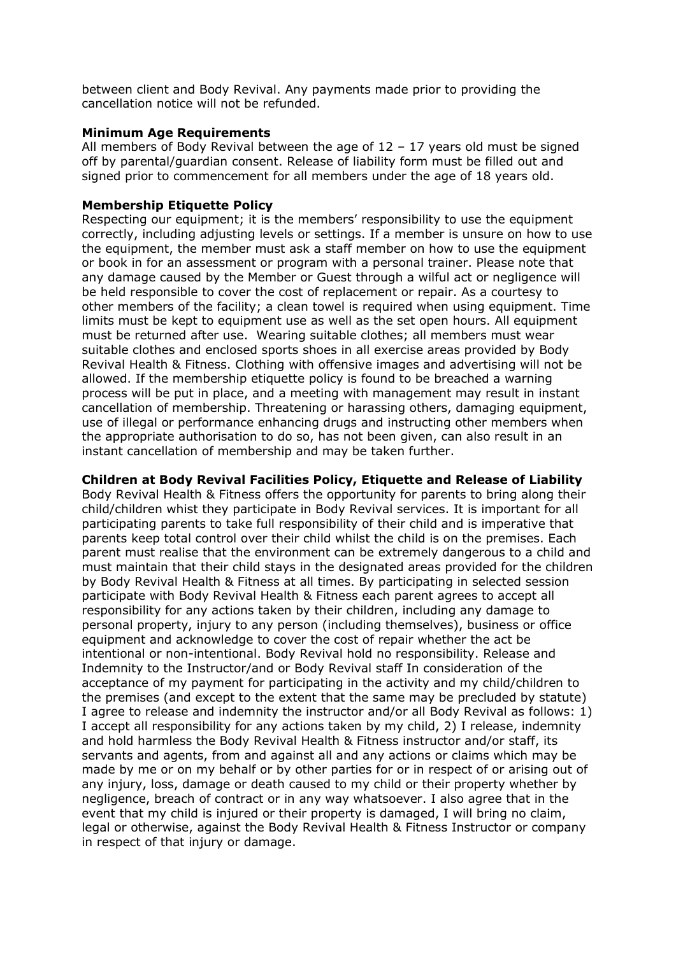between client and Body Revival. Any payments made prior to providing the cancellation notice will not be refunded.

#### **Minimum Age Requirements**

All members of Body Revival between the age of  $12 - 17$  years old must be signed off by parental/guardian consent. Release of liability form must be filled out and signed prior to commencement for all members under the age of 18 years old.

#### **Membership Etiquette Policy**

Respecting our equipment; it is the members' responsibility to use the equipment correctly, including adjusting levels or settings. If a member is unsure on how to use the equipment, the member must ask a staff member on how to use the equipment or book in for an assessment or program with a personal trainer. Please note that any damage caused by the Member or Guest through a wilful act or negligence will be held responsible to cover the cost of replacement or repair. As a courtesy to other members of the facility; a clean towel is required when using equipment. Time limits must be kept to equipment use as well as the set open hours. All equipment must be returned after use. Wearing suitable clothes; all members must wear suitable clothes and enclosed sports shoes in all exercise areas provided by Body Revival Health & Fitness. Clothing with offensive images and advertising will not be allowed. If the membership etiquette policy is found to be breached a warning process will be put in place, and a meeting with management may result in instant cancellation of membership. Threatening or harassing others, damaging equipment, use of illegal or performance enhancing drugs and instructing other members when the appropriate authorisation to do so, has not been given, can also result in an instant cancellation of membership and may be taken further.

**Children at Body Revival Facilities Policy, Etiquette and Release of Liability** Body Revival Health & Fitness offers the opportunity for parents to bring along their child/children whist they participate in Body Revival services. It is important for all participating parents to take full responsibility of their child and is imperative that parents keep total control over their child whilst the child is on the premises. Each parent must realise that the environment can be extremely dangerous to a child and must maintain that their child stays in the designated areas provided for the children by Body Revival Health & Fitness at all times. By participating in selected session participate with Body Revival Health & Fitness each parent agrees to accept all responsibility for any actions taken by their children, including any damage to personal property, injury to any person (including themselves), business or office equipment and acknowledge to cover the cost of repair whether the act be intentional or non-intentional. Body Revival hold no responsibility. Release and Indemnity to the Instructor/and or Body Revival staff In consideration of the acceptance of my payment for participating in the activity and my child/children to the premises (and except to the extent that the same may be precluded by statute) I agree to release and indemnity the instructor and/or all Body Revival as follows: 1) I accept all responsibility for any actions taken by my child, 2) I release, indemnity and hold harmless the Body Revival Health & Fitness instructor and/or staff, its servants and agents, from and against all and any actions or claims which may be made by me or on my behalf or by other parties for or in respect of or arising out of any injury, loss, damage or death caused to my child or their property whether by negligence, breach of contract or in any way whatsoever. I also agree that in the event that my child is injured or their property is damaged, I will bring no claim, legal or otherwise, against the Body Revival Health & Fitness Instructor or company in respect of that injury or damage.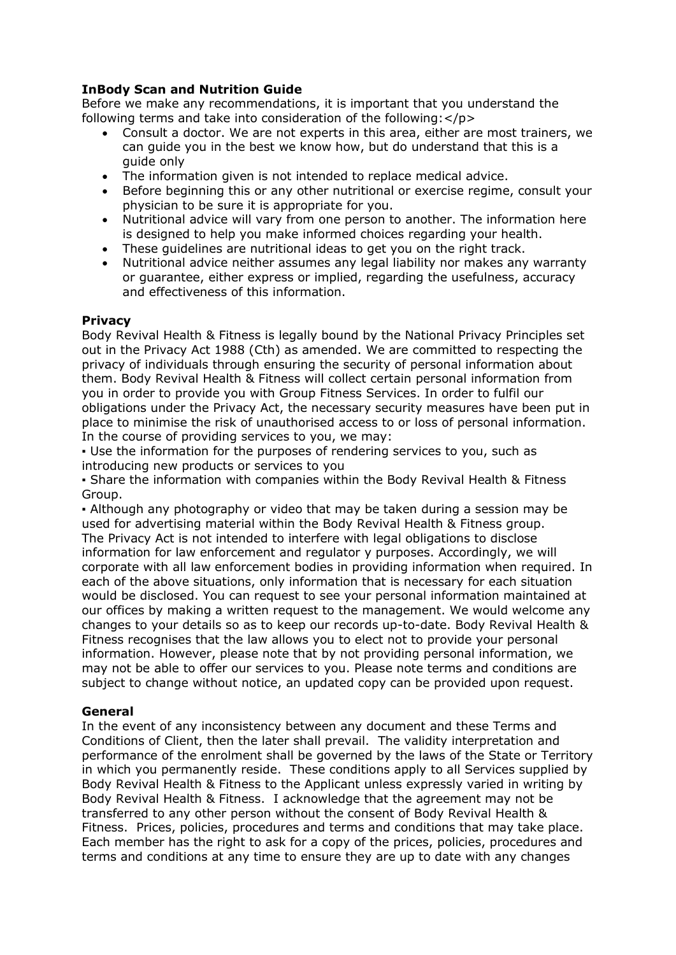# **InBody Scan and Nutrition Guide**

Before we make any recommendations, it is important that you understand the following terms and take into consideration of the following:</p>

- Consult a doctor. We are not experts in this area, either are most trainers, we can guide you in the best we know how, but do understand that this is a guide only
- The information given is not intended to replace medical advice.
- Before beginning this or any other nutritional or exercise regime, consult your physician to be sure it is appropriate for you.
- Nutritional advice will vary from one person to another. The information here is designed to help you make informed choices regarding your health.
- These guidelines are nutritional ideas to get you on the right track.
- Nutritional advice neither assumes any legal liability nor makes any warranty or guarantee, either express or implied, regarding the usefulness, accuracy and effectiveness of this information.

#### **Privacy**

Body Revival Health & Fitness is legally bound by the National Privacy Principles set out in the Privacy Act 1988 (Cth) as amended. We are committed to respecting the privacy of individuals through ensuring the security of personal information about them. Body Revival Health & Fitness will collect certain personal information from you in order to provide you with Group Fitness Services. In order to fulfil our obligations under the Privacy Act, the necessary security measures have been put in place to minimise the risk of unauthorised access to or loss of personal information. In the course of providing services to you, we may:

▪ Use the information for the purposes of rendering services to you, such as introducing new products or services to you

▪ Share the information with companies within the Body Revival Health & Fitness Group.

▪ Although any photography or video that may be taken during a session may be used for advertising material within the Body Revival Health & Fitness group. The Privacy Act is not intended to interfere with legal obligations to disclose information for law enforcement and regulator y purposes. Accordingly, we will corporate with all law enforcement bodies in providing information when required. In each of the above situations, only information that is necessary for each situation would be disclosed. You can request to see your personal information maintained at our offices by making a written request to the management. We would welcome any changes to your details so as to keep our records up-to-date. Body Revival Health & Fitness recognises that the law allows you to elect not to provide your personal information. However, please note that by not providing personal information, we may not be able to offer our services to you. Please note terms and conditions are subject to change without notice, an updated copy can be provided upon request.

#### **General**

In the event of any inconsistency between any document and these Terms and Conditions of Client, then the later shall prevail. The validity interpretation and performance of the enrolment shall be governed by the laws of the State or Territory in which you permanently reside. These conditions apply to all Services supplied by Body Revival Health & Fitness to the Applicant unless expressly varied in writing by Body Revival Health & Fitness. I acknowledge that the agreement may not be transferred to any other person without the consent of Body Revival Health & Fitness. Prices, policies, procedures and terms and conditions that may take place. Each member has the right to ask for a copy of the prices, policies, procedures and terms and conditions at any time to ensure they are up to date with any changes